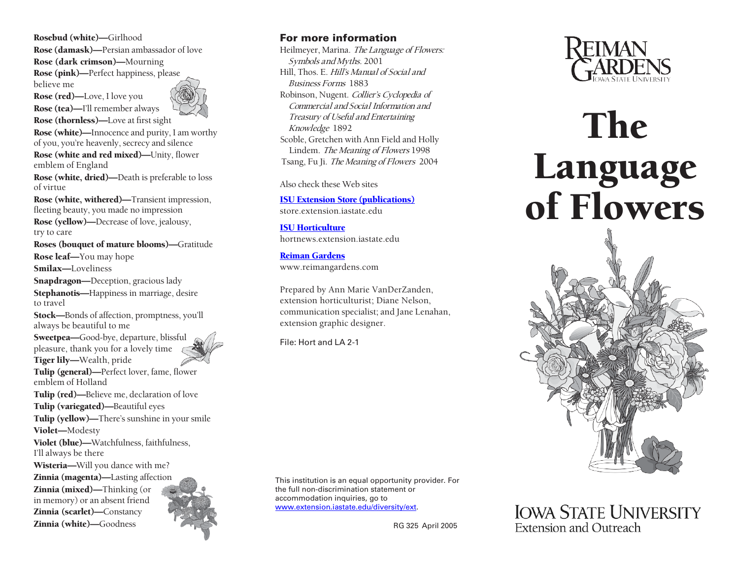Rosebud (white)—Girlhood Rose (damask)—Persian ambassador of love Rose (dark crimson)—Mourning Rose (pink)—Perfect happiness, please believe me

Rose (red)—Love, I love you Rose (tea)—I'll remember always Rose (thornless)—Love at first sight

Rose (white)—Innocence and purity, I am worthy of you, you're heavenly, secrecy and silence

Rose (white and red mixed)—Unity, flower emblem of England

Rose (white, dried)—Death is preferable to loss of virtue

Rose (white, withered)—Transient impression, fleeting beauty, you made no impression

Rose (yellow)—Decrease of love, jealousy, try to care

Roses (bouquet of mature blooms)—Gratitude Rose leaf—You may hope Smilax—Loveliness

Snapdragon—Deception, gracious lady Stephanotis—Happiness in marriage, desire to travel

Stock—Bonds of affection, promptness, you'll always be beautiful to me

Sweetpea—Good-bye, departure, blissful pleasure, thank you for a lovely time Tiger lily—Wealth, pride

Tulip (general)—Perfect lover, fame, flower emblem of Holland

Tulip (red)—Believe me, declaration of love

Tulip (variegated)—Beautiful eyes

Tulip (yellow)—There's sunshine in your smile Violet—Modesty

Violet (blue)—Watchfulness, faithfulness, I'll always be there

Wisteria—Will you dance with me?

Zinnia (magenta)—Lasting affection Zinnia (mixed)—Thinking (or in memory) or an absent friend Zinnia (scarlet)—Constancy Zinnia (white)—Goodness



## For more information

Heilmeyer, Marina. The Language of Flowers: Symbols and Myths. 2001 Hill, Thos. E. Hill's Manual of Social and Business Forms 1883 Robinson, Nugent. Collier's Cyclopedia of Commercial and Social Information and Treasury of Useful and Entertaining Knowledge 1892 Scoble, Gretchen with Ann Field and Holly Lindem. The Meaning of Flowers 1998 Tsang, Fu Ji. The Meaning of Flowers 2004

Also check these Web sites

ISU Extension [Store \(publications\)](store.extension.iastate.edu)

store.extension.iastate.edu

[ISU Horticulture](hortnews.extension.iastate.edu) hortnews.extension.iastate.edu

Reiman [Gardens](http://www.reimangardens.com/) www.reimangardens.com

Prepared by Ann Marie VanDerZanden, extension horticulturist; Diane Nelson, communication specialist; and Jane Lenahan, extension graphic designer.

File: Hort and LA 2-1

This institution is an equal opportunity provider. For the full non-discrimination statement or accommodation inquiries, go to [www.extension.iastate.edu/diversity/ext.](mailto:www.extension.iastate.edu/diversity/ext)

RG 325 April 2005



## The Language of Flowers



**IOWA STATE UNIVERSITY Extension and Outreach**